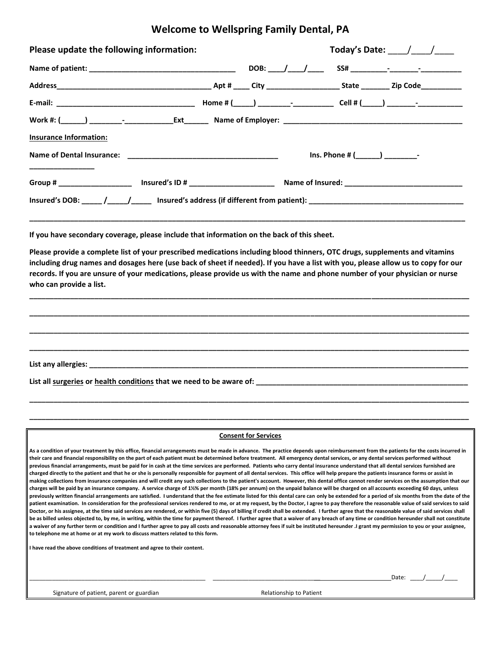## **Welcome to Wellspring Family Dental, PA**

| Please update the following information: |  |  | Today's Date: $\frac{1}{2}$ / |  |                       |  |
|------------------------------------------|--|--|-------------------------------|--|-----------------------|--|
|                                          |  |  |                               |  |                       |  |
|                                          |  |  |                               |  |                       |  |
|                                          |  |  |                               |  |                       |  |
|                                          |  |  |                               |  |                       |  |
| <b>Insurance Information:</b>            |  |  |                               |  |                       |  |
|                                          |  |  |                               |  | $Ins. Phone #( ) ) -$ |  |
|                                          |  |  |                               |  |                       |  |
|                                          |  |  |                               |  |                       |  |
|                                          |  |  |                               |  |                       |  |

**If you have secondary coverage, please include that information on the back of this sheet.**

**Please provide a complete list of your prescribed medications including blood thinners, OTC drugs, supplements and vitamins including drug names and dosages here (use back of sheet if needed). If you have a list with you, please allow us to copy for our records. If you are unsure of your medications, please provide us with the name and phone number of your physician or nurse who can provide a list.** 

**\_\_\_\_\_\_\_\_\_\_\_\_\_\_\_\_\_\_\_\_\_\_\_\_\_\_\_\_\_\_\_\_\_\_\_\_\_\_\_\_\_\_\_\_\_\_\_\_\_\_\_\_\_\_\_\_\_\_\_\_\_\_\_\_\_\_\_\_\_\_\_\_\_\_\_\_\_\_\_\_\_\_\_\_\_\_\_\_\_\_\_\_\_\_\_\_\_\_\_\_\_\_\_\_\_\_\_\_**

**\_\_\_\_\_\_\_\_\_\_\_\_\_\_\_\_\_\_\_\_\_\_\_\_\_\_\_\_\_\_\_\_\_\_\_\_\_\_\_\_\_\_\_\_\_\_\_\_\_\_\_\_\_\_\_\_\_\_\_\_\_\_\_\_\_\_\_\_\_\_\_\_\_\_\_\_\_\_\_\_\_\_\_\_\_\_\_\_\_\_\_\_\_\_\_\_\_\_\_\_\_\_\_\_\_\_\_\_**

**\_\_\_\_\_\_\_\_\_\_\_\_\_\_\_\_\_\_\_\_\_\_\_\_\_\_\_\_\_\_\_\_\_\_\_\_\_\_\_\_\_\_\_\_\_\_\_\_\_\_\_\_\_\_\_\_\_\_\_\_\_\_\_\_\_\_\_\_\_\_\_\_\_\_\_\_\_\_\_\_\_\_\_\_\_\_\_\_\_\_\_\_\_\_\_\_\_\_\_\_\_\_\_\_\_\_\_\_**

**\_\_\_\_\_\_\_\_\_\_\_\_\_\_\_\_\_\_\_\_\_\_\_\_\_\_\_\_\_\_\_\_\_\_\_\_\_\_\_\_\_\_\_\_\_\_\_\_\_\_\_\_\_\_\_\_\_\_\_\_\_\_\_\_\_\_\_\_\_\_\_\_\_\_\_\_\_\_\_\_\_\_\_\_\_\_\_\_\_\_\_\_\_\_\_\_\_\_\_\_\_\_\_\_\_\_\_\_**

**List any allergies: \_\_\_\_\_\_\_\_\_\_\_\_\_\_\_\_\_\_\_\_\_\_\_\_\_\_\_\_\_\_\_\_\_\_\_\_\_\_\_\_\_\_\_\_\_\_\_\_\_\_\_\_\_\_\_\_\_\_\_\_\_\_\_\_\_\_\_\_\_\_\_\_\_\_\_\_\_\_\_\_\_\_\_\_\_\_\_\_\_\_\_\_\_**

List all surgeries or health conditions that we need to be aware of: \_\_\_\_\_\_\_\_\_\_\_\_

#### **Consent for Services**

**\_\_\_\_\_\_\_\_\_\_\_\_\_\_\_\_\_\_\_\_\_\_\_\_\_\_\_\_\_\_\_\_\_\_\_\_\_\_\_\_\_\_\_\_\_\_\_\_\_\_\_\_\_\_\_\_\_\_\_\_\_\_\_\_\_\_\_\_\_\_\_\_\_\_\_\_\_\_\_\_\_\_\_\_\_\_\_\_\_\_\_\_\_\_\_\_\_\_\_\_\_\_\_\_\_\_\_\_**

**\_\_\_\_\_\_\_\_\_\_\_\_\_\_\_\_\_\_\_\_\_\_\_\_\_\_\_\_\_\_\_\_\_\_\_\_\_\_\_\_\_\_\_\_\_\_\_\_\_\_\_\_\_\_\_\_\_\_\_\_\_\_\_\_\_\_\_\_\_\_\_\_\_\_\_\_\_\_\_\_\_\_\_\_\_\_\_\_\_\_\_\_\_\_\_\_\_\_\_\_\_\_\_\_\_\_\_\_**

**As a condition of your treatment by this office, financial arrangements must be made in advance. The practice depends upon reimbursement from the patients for the costs incurred in their care and financial responsibility on the part of each patient must be determined before treatment. All emergency dental services, or any dental services performed without previous financial arrangements, must be paid for in cash at the time services are performed. Patients who carry dental insurance understand that all dental services furnished are charged directly to the patient and that he or she is personally responsible for payment of all dental services. This office will help prepare the patients insurance forms or assist in making collections from insurance companies and will credit any such collections to the patient's account. However, this dental office cannot render services on the assumption that our charges will be paid by an insurance company. A service charge of 1½% per month (18% per annum) on the unpaid balance will be charged on all accounts exceeding 60 days, unless previously written financial arrangements are satisfied. I understand that the fee estimate listed for this dental care can only be extended for a period of six months from the date of the patient examination. In consideration for the professional services rendered to me, or at my request, by the Doctor, I agree to pay therefore the reasonable value of said services to said**  Doctor, or his assignee, at the time said services are rendered, or within five (5) days of billing if credit shall be extended. I further agree that the reasonable value of said services shall **be as billed unless objected to, by me, in writing, within the time for payment thereof. I further agree that a waiver of any breach of any time or condition hereunder shall not constitute a waiver of any further term or condition and I further agree to pay all costs and reasonable attorney fees if suit be instituted hereunder .I grant my permission to you or your assignee, to telephone me at home or at my work to discuss matters related to this form.**

**I have read the above conditions of treatment and agree to their content.**

| Date: |  |  |
|-------|--|--|
|       |  |  |

Signature of patient, parent or guardian Relationship to Patient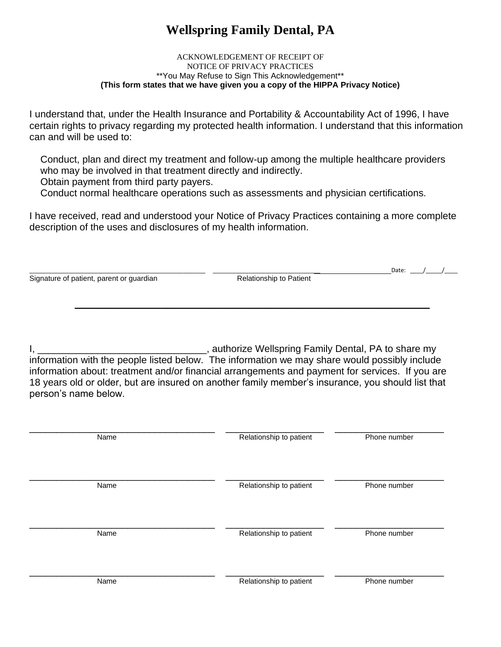# **Wellspring Family Dental, PA**

#### ACKNOWLEDGEMENT OF RECEIPT OF NOTICE OF PRIVACY PRACTICES \*\*You May Refuse to Sign This Acknowledgement\*\* **(This form states that we have given you a copy of the HIPPA Privacy Notice)**

I understand that, under the Health Insurance and Portability & Accountability Act of 1996, I have certain rights to privacy regarding my protected health information. I understand that this information can and will be used to:

 Conduct, plan and direct my treatment and follow-up among the multiple healthcare providers who may be involved in that treatment directly and indirectly.

Obtain payment from third party payers.

Conduct normal healthcare operations such as assessments and physician certifications.

I have received, read and understood your Notice of Privacy Practices containing a more complete description of the uses and disclosures of my health information.

\_\_\_\_\_\_\_\_\_\_\_\_\_\_\_\_\_\_\_\_\_\_\_\_\_\_\_\_\_\_\_\_\_\_\_\_\_\_\_\_\_\_\_\_\_\_\_\_\_\_\_\_\_\_ \_\_\_\_\_\_\_\_\_\_\_\_\_\_\_\_\_\_\_\_\_\_\_\_\_\_\_\_\_\_\_\_\_ Date: \_\_\_\_/\_\_\_\_\_/\_\_\_\_ Signature of patient, parent or guardian

**\_\_\_\_\_\_\_\_\_\_\_\_\_\_\_\_\_\_\_\_\_\_\_\_\_\_\_\_\_\_\_\_\_\_\_\_\_\_\_\_\_\_\_\_\_\_\_\_\_\_\_\_\_\_\_\_\_\_\_\_\_\_\_\_\_\_\_\_\_\_\_\_\_\_\_\_\_\_**

I, \_\_\_\_\_\_\_\_\_\_\_\_\_\_\_\_\_\_\_\_\_\_\_\_\_\_\_\_\_\_\_, authorize Wellspring Family Dental, PA to share my information with the people listed below. The information we may share would possibly include information about: treatment and/or financial arrangements and payment for services. If you are 18 years old or older, but are insured on another family member's insurance, you should list that person's name below.

| Name | Relationship to patient | Phone number |
|------|-------------------------|--------------|
| Name | Relationship to patient | Phone number |
| Name | Relationship to patient | Phone number |
| Name | Relationship to patient | Phone number |